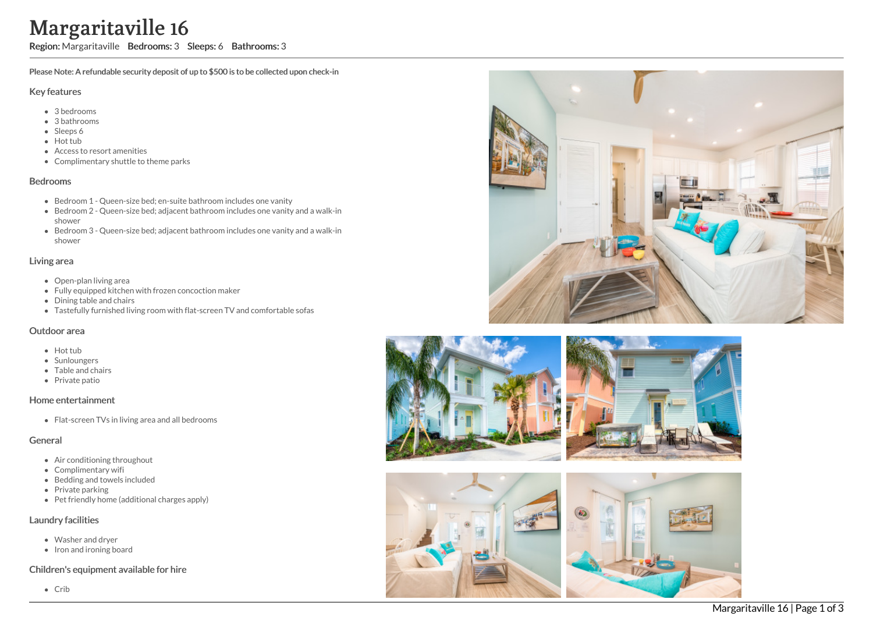# Margaritaville 16

Region: Margaritaville Bedrooms: 3 Sleeps: 6 Bathrooms: 3

Please Note: A refundable security deposit of up to \$500 is to be collected upon check-in

#### Key features

- 3 b e d r o o m s
- 3 bathrooms
- Sleeps 6
- Hot tub
- Access to resort amenities
- Complimentary shuttle to theme parks

#### **Bedrooms**

- Bedroom 1 Queen-size bed; en-suite bathroom includes one vanity
- Bedroom 2 Queen-size bed; adjacent bathroom includes one vanity and a walk-in s h o w e r
- Bedroom 3 Queen-size bed; adjacent bathroom includes one vanity and a walk-in s h o w e r

### Living area

- Open-plan living area
- Fully equipped kitchen with frozen concoction maker
- Dining table and chairs
- Tastefully furnished living room with flat-screen TV and comfortable sofas

#### Outdoor area

- Hot tub
- **Sunloungers**
- T a ble a n d c h air s
- Private patio

## Home entertainment

Flat-screen TVs in living area and all bedrooms

## General

- Air conditioning throughout
- Complimentary wifi
- Bedding and towels in clu d e d
- Private parking
- Pet friendly home (additional charges apply)

## Laundry facilities

- Washer and dryer
- Iron and ironing board

## Children's equipment available for hire

C rib







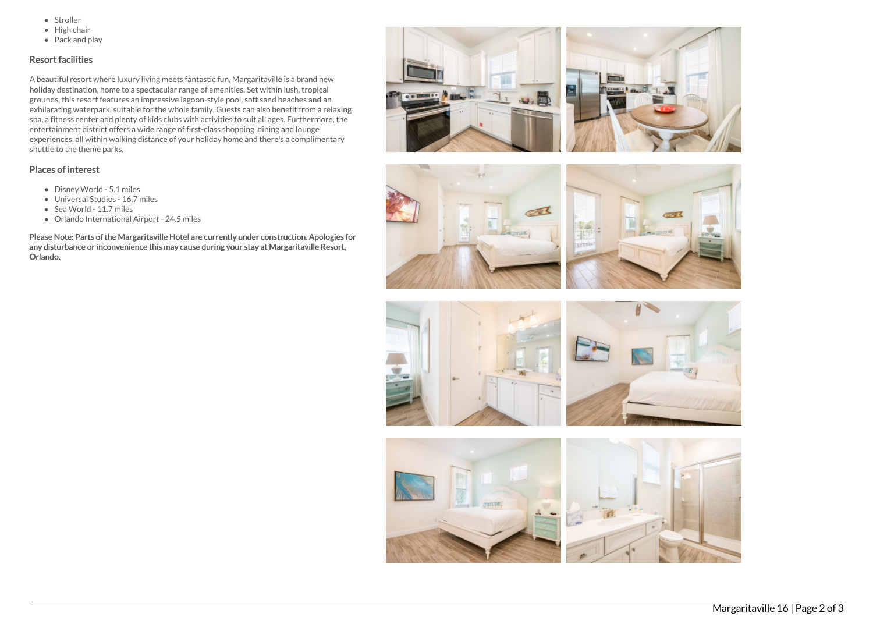- Stroller
- $\bullet$  High chair
- Pack and play

## Resort facilities

A beautiful resort where luxury living meets fantastic fun, Margaritaville is a brand new holiday destination, home to a spectacular range of amenities. Set within lush, tropical grounds, this resort features an impressive lagoon-style pool, soft sand beaches and an exhilarating waterpark, suitable for the whole family. Guests can also benefit from a relaxing spa, a fitness center and plenty of kids clubs with activities to suit all ages. Furthermore, the entertainment district offers a wide range of first-class shopping, dining and lounge experiences, all within walking distance of your holiday home and there's a complimentary shuttle to the theme parks.

### Places of interest

- Disney World 5.1 miles
- Universal Studios 16.7 miles
- Sea World 11.7 miles
- Orlando International Airport 24.5 miles

Please Note: Parts of the Margaritaville Hotel are currently under construction. Apologies for any disturbance or inconvenience this may cause during your stay at Margaritaville Resort, Orlando.